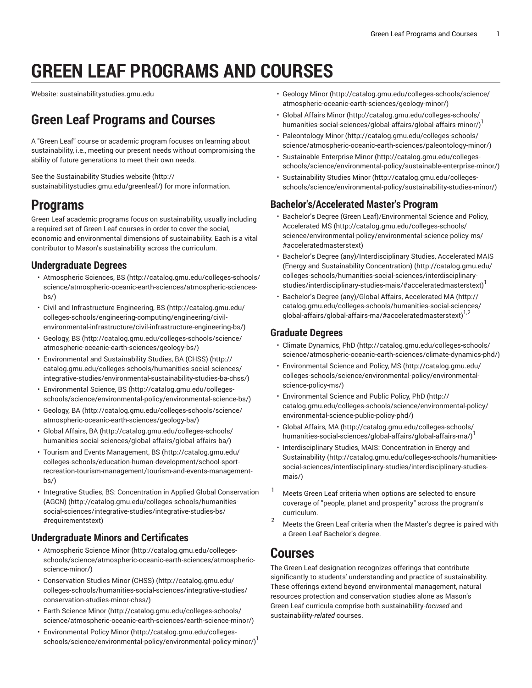# **GREEN LEAF PROGRAMS AND COURSES**

Website: sustainabilitystudies.gmu.edu

## **Green Leaf Programs and Courses**

A "Green Leaf" course or academic program focuses on learning about sustainability, i.e., meeting our present needs without compromising the ability of future generations to meet their own needs.

See the [Sustainability Studies website](http://sustainabilitystudies.gmu.edu/greenleaf/) ([http://](http://sustainabilitystudies.gmu.edu/greenleaf/) [sustainabilitystudies.gmu.edu/greenleaf/\)](http://sustainabilitystudies.gmu.edu/greenleaf/) for more information.

## **Programs**

Green Leaf academic programs focus on sustainability, usually including a required set of Green Leaf courses in order to cover the social, economic and environmental dimensions of sustainability. Each is a vital contributor to Mason's sustainability across the curriculum.

#### **Undergraduate Degrees**

- [Atmospheric](http://catalog.gmu.edu/colleges-schools/science/atmospheric-oceanic-earth-sciences/atmospheric-sciences-bs/) Sciences, BS ([http://catalog.gmu.edu/colleges-schools/](http://catalog.gmu.edu/colleges-schools/science/atmospheric-oceanic-earth-sciences/atmospheric-sciences-bs/) [science/atmospheric-oceanic-earth-sciences/atmospheric-sciences](http://catalog.gmu.edu/colleges-schools/science/atmospheric-oceanic-earth-sciences/atmospheric-sciences-bs/) $hs()$
- Civil and [Infrastructure](http://catalog.gmu.edu/colleges-schools/engineering-computing/engineering/civil-environmental-infrastructure/civil-infrastructure-engineering-bs/) Engineering, BS ([http://catalog.gmu.edu/](http://catalog.gmu.edu/colleges-schools/engineering-computing/engineering/civil-environmental-infrastructure/civil-infrastructure-engineering-bs/) [colleges-schools/engineering-computing/engineering/civil](http://catalog.gmu.edu/colleges-schools/engineering-computing/engineering/civil-environmental-infrastructure/civil-infrastructure-engineering-bs/)[environmental-infrastructure/civil-infrastructure-engineering-bs/](http://catalog.gmu.edu/colleges-schools/engineering-computing/engineering/civil-environmental-infrastructure/civil-infrastructure-engineering-bs/))
- [Geology,](http://catalog.gmu.edu/colleges-schools/science/atmospheric-oceanic-earth-sciences/geology-bs/) BS ([http://catalog.gmu.edu/colleges-schools/science/](http://catalog.gmu.edu/colleges-schools/science/atmospheric-oceanic-earth-sciences/geology-bs/) [atmospheric-oceanic-earth-sciences/geology-bs/](http://catalog.gmu.edu/colleges-schools/science/atmospheric-oceanic-earth-sciences/geology-bs/))
- [Environmental](http://catalog.gmu.edu/colleges-schools/humanities-social-sciences/integrative-studies/environmental-sustainability-studies-ba-chss/) and Sustainability Studies, BA (CHSS) [\(http://](http://catalog.gmu.edu/colleges-schools/humanities-social-sciences/integrative-studies/environmental-sustainability-studies-ba-chss/) [catalog.gmu.edu/colleges-schools/humanities-social-sciences/](http://catalog.gmu.edu/colleges-schools/humanities-social-sciences/integrative-studies/environmental-sustainability-studies-ba-chss/) [integrative-studies/environmental-sustainability-studies-ba-chss/](http://catalog.gmu.edu/colleges-schools/humanities-social-sciences/integrative-studies/environmental-sustainability-studies-ba-chss/))
- [Environmental](http://catalog.gmu.edu/colleges-schools/science/environmental-policy/environmental-science-bs/) Science, BS ([http://catalog.gmu.edu/colleges](http://catalog.gmu.edu/colleges-schools/science/environmental-policy/environmental-science-bs/)[schools/science/environmental-policy/environmental-science-bs/](http://catalog.gmu.edu/colleges-schools/science/environmental-policy/environmental-science-bs/))
- [Geology,](http://catalog.gmu.edu/colleges-schools/science/atmospheric-oceanic-earth-sciences/geology-ba/) BA [\(http://catalog.gmu.edu/colleges-schools/science/](http://catalog.gmu.edu/colleges-schools/science/atmospheric-oceanic-earth-sciences/geology-ba/) [atmospheric-oceanic-earth-sciences/geology-ba/\)](http://catalog.gmu.edu/colleges-schools/science/atmospheric-oceanic-earth-sciences/geology-ba/)
- [Global Affairs, BA \(http://catalog.gmu.edu/colleges-schools/](http://catalog.gmu.edu/colleges-schools/humanities-social-sciences/global-affairs/global-affairs-ba/) [humanities-social-sciences/global-affairs/global-affairs-ba/\)](http://catalog.gmu.edu/colleges-schools/humanities-social-sciences/global-affairs/global-affairs-ba/)
- Tourism and Events [Management,](http://catalog.gmu.edu/colleges-schools/education-human-development/school-sport-recreation-tourism-management/tourism-and-events-management-bs/) BS ([http://catalog.gmu.edu/](http://catalog.gmu.edu/colleges-schools/education-human-development/school-sport-recreation-tourism-management/tourism-and-events-management-bs/) [colleges-schools/education-human-development/school-sport](http://catalog.gmu.edu/colleges-schools/education-human-development/school-sport-recreation-tourism-management/tourism-and-events-management-bs/)[recreation-tourism-management/tourism-and-events-management](http://catalog.gmu.edu/colleges-schools/education-human-development/school-sport-recreation-tourism-management/tourism-and-events-management-bs/)[bs/](http://catalog.gmu.edu/colleges-schools/education-human-development/school-sport-recreation-tourism-management/tourism-and-events-management-bs/))
- Integrative Studies, BS: [Concentration](http://catalog.gmu.edu/colleges-schools/humanities-social-sciences/integrative-studies/integrative-studies-bs/#requirementstext) in Applied Global Conservation [\(AGCN\) \(http://catalog.gmu.edu/colleges-schools/humanities](http://catalog.gmu.edu/colleges-schools/humanities-social-sciences/integrative-studies/integrative-studies-bs/#requirementstext)[social-sciences/integrative-studies/integrative-studies-bs/](http://catalog.gmu.edu/colleges-schools/humanities-social-sciences/integrative-studies/integrative-studies-bs/#requirementstext) [#requirementstext](http://catalog.gmu.edu/colleges-schools/humanities-social-sciences/integrative-studies/integrative-studies-bs/#requirementstext))

#### **Undergraduate Minors and Certificates**

- [Atmospheric](http://catalog.gmu.edu/colleges-schools/science/atmospheric-oceanic-earth-sciences/atmospheric-science-minor/) Science Minor ([http://catalog.gmu.edu/colleges](http://catalog.gmu.edu/colleges-schools/science/atmospheric-oceanic-earth-sciences/atmospheric-science-minor/)[schools/science/atmospheric-oceanic-earth-sciences/atmospheric](http://catalog.gmu.edu/colleges-schools/science/atmospheric-oceanic-earth-sciences/atmospheric-science-minor/)[science-minor/\)](http://catalog.gmu.edu/colleges-schools/science/atmospheric-oceanic-earth-sciences/atmospheric-science-minor/)
- [Conservation](http://catalog.gmu.edu/colleges-schools/humanities-social-sciences/integrative-studies/conservation-studies-minor-chss/) Studies Minor (CHSS) [\(http://catalog.gmu.edu/](http://catalog.gmu.edu/colleges-schools/humanities-social-sciences/integrative-studies/conservation-studies-minor-chss/) [colleges-schools/humanities-social-sciences/integrative-studies/](http://catalog.gmu.edu/colleges-schools/humanities-social-sciences/integrative-studies/conservation-studies-minor-chss/) [conservation-studies-minor-chss/](http://catalog.gmu.edu/colleges-schools/humanities-social-sciences/integrative-studies/conservation-studies-minor-chss/))
- Earth [Science](http://catalog.gmu.edu/colleges-schools/science/atmospheric-oceanic-earth-sciences/earth-science-minor/) Minor [\(http://catalog.gmu.edu/colleges-schools/](http://catalog.gmu.edu/colleges-schools/science/atmospheric-oceanic-earth-sciences/earth-science-minor/) [science/atmospheric-oceanic-earth-sciences/earth-science-minor/\)](http://catalog.gmu.edu/colleges-schools/science/atmospheric-oceanic-earth-sciences/earth-science-minor/)
- [Environmental](http://catalog.gmu.edu/colleges-schools/science/environmental-policy/environmental-policy-minor/) Policy Minor [\(http://catalog.gmu.edu/colleges](http://catalog.gmu.edu/colleges-schools/science/environmental-policy/environmental-policy-minor/)[schools/science/environmental-policy/environmental-policy-minor/](http://catalog.gmu.edu/colleges-schools/science/environmental-policy/environmental-policy-minor/))<sup>1</sup>
- [Geology Minor \(http://catalog.gmu.edu/colleges-schools/science/](http://catalog.gmu.edu/colleges-schools/science/atmospheric-oceanic-earth-sciences/geology-minor/) [atmospheric-oceanic-earth-sciences/geology-minor/\)](http://catalog.gmu.edu/colleges-schools/science/atmospheric-oceanic-earth-sciences/geology-minor/)
- [Global Affairs Minor](http://catalog.gmu.edu/colleges-schools/humanities-social-sciences/global-affairs/global-affairs-minor/) ([http://catalog.gmu.edu/colleges-schools/](http://catalog.gmu.edu/colleges-schools/humanities-social-sciences/global-affairs/global-affairs-minor/) [humanities-social-sciences/global-affairs/global-affairs-minor/](http://catalog.gmu.edu/colleges-schools/humanities-social-sciences/global-affairs/global-affairs-minor/)) 1
- [Paleontology](http://catalog.gmu.edu/colleges-schools/science/atmospheric-oceanic-earth-sciences/paleontology-minor/) Minor [\(http://catalog.gmu.edu/colleges-schools/](http://catalog.gmu.edu/colleges-schools/science/atmospheric-oceanic-earth-sciences/paleontology-minor/) [science/atmospheric-oceanic-earth-sciences/paleontology-minor/](http://catalog.gmu.edu/colleges-schools/science/atmospheric-oceanic-earth-sciences/paleontology-minor/))
- [Sustainable Enterprise Minor](http://catalog.gmu.edu/colleges-schools/science/environmental-policy/sustainable-enterprise-minor/) [\(http://catalog.gmu.edu/colleges](http://catalog.gmu.edu/colleges-schools/science/environmental-policy/sustainable-enterprise-minor/)[schools/science/environmental-policy/sustainable-enterprise-minor/\)](http://catalog.gmu.edu/colleges-schools/science/environmental-policy/sustainable-enterprise-minor/)
- [Sustainability Studies Minor \(http://catalog.gmu.edu/colleges](http://catalog.gmu.edu/colleges-schools/science/environmental-policy/sustainability-studies-minor/)[schools/science/environmental-policy/sustainability-studies-minor/\)](http://catalog.gmu.edu/colleges-schools/science/environmental-policy/sustainability-studies-minor/)

#### **Bachelor's/Accelerated Master's Program**

- Bachelor's Degree (Green [Leaf\)/Environmental](http://catalog.gmu.edu/colleges-schools/science/environmental-policy/environmental-science-policy-ms/#acceleratedmasterstext) Science and Policy, [Accelerated MS](http://catalog.gmu.edu/colleges-schools/science/environmental-policy/environmental-science-policy-ms/#acceleratedmasterstext) ([http://catalog.gmu.edu/colleges-schools/](http://catalog.gmu.edu/colleges-schools/science/environmental-policy/environmental-science-policy-ms/#acceleratedmasterstext) [science/environmental-policy/environmental-science-policy-ms/](http://catalog.gmu.edu/colleges-schools/science/environmental-policy/environmental-science-policy-ms/#acceleratedmasterstext) [#acceleratedmasterstext\)](http://catalog.gmu.edu/colleges-schools/science/environmental-policy/environmental-science-policy-ms/#acceleratedmasterstext)
- Bachelor's Degree [\(any\)/Interdisciplinary](http://catalog.gmu.edu/colleges-schools/humanities-social-sciences/interdisciplinary-studies/interdisciplinary-studies-mais/#acceleratedmasterstext) Studies, Accelerated MAIS (Energy and Sustainability [Concentration\)](http://catalog.gmu.edu/colleges-schools/humanities-social-sciences/interdisciplinary-studies/interdisciplinary-studies-mais/#acceleratedmasterstext) ([http://catalog.gmu.edu/](http://catalog.gmu.edu/colleges-schools/humanities-social-sciences/interdisciplinary-studies/interdisciplinary-studies-mais/#acceleratedmasterstext) [colleges-schools/humanities-social-sciences/interdisciplinary](http://catalog.gmu.edu/colleges-schools/humanities-social-sciences/interdisciplinary-studies/interdisciplinary-studies-mais/#acceleratedmasterstext)[studies/interdisciplinary-studies-mais/#acceleratedmasterstext\)](http://catalog.gmu.edu/colleges-schools/humanities-social-sciences/interdisciplinary-studies/interdisciplinary-studies-mais/#acceleratedmasterstext) 1
- Bachelor's Degree [\(any\)/Global](http://catalog.gmu.edu/colleges-schools/humanities-social-sciences/global-affairs/global-affairs-ma/#acceleratedmasterstext) Affairs, Accelerated MA ([http://](http://catalog.gmu.edu/colleges-schools/humanities-social-sciences/global-affairs/global-affairs-ma/#acceleratedmasterstext) [catalog.gmu.edu/colleges-schools/humanities-social-sciences/](http://catalog.gmu.edu/colleges-schools/humanities-social-sciences/global-affairs/global-affairs-ma/#acceleratedmasterstext) [global-affairs/global-affairs-ma/#acceleratedmasterstext\)](http://catalog.gmu.edu/colleges-schools/humanities-social-sciences/global-affairs/global-affairs-ma/#acceleratedmasterstext)<sup>1,2</sup>

#### **Graduate Degrees**

- [Climate Dynamics, PhD](http://catalog.gmu.edu/colleges-schools/science/atmospheric-oceanic-earth-sciences/climate-dynamics-phd/) ([http://catalog.gmu.edu/colleges-schools/](http://catalog.gmu.edu/colleges-schools/science/atmospheric-oceanic-earth-sciences/climate-dynamics-phd/) [science/atmospheric-oceanic-earth-sciences/climate-dynamics-phd/](http://catalog.gmu.edu/colleges-schools/science/atmospheric-oceanic-earth-sciences/climate-dynamics-phd/))
- [Environmental](http://catalog.gmu.edu/colleges-schools/science/environmental-policy/environmental-science-policy-ms/) Science and Policy, MS ([http://catalog.gmu.edu/](http://catalog.gmu.edu/colleges-schools/science/environmental-policy/environmental-science-policy-ms/) [colleges-schools/science/environmental-policy/environmental](http://catalog.gmu.edu/colleges-schools/science/environmental-policy/environmental-science-policy-ms/)[science-policy-ms/](http://catalog.gmu.edu/colleges-schools/science/environmental-policy/environmental-science-policy-ms/))
- [Environmental](http://catalog.gmu.edu/colleges-schools/science/environmental-policy/environmental-science-public-policy-phd/) Science and Public Policy, PhD [\(http://](http://catalog.gmu.edu/colleges-schools/science/environmental-policy/environmental-science-public-policy-phd/) [catalog.gmu.edu/colleges-schools/science/environmental-policy/](http://catalog.gmu.edu/colleges-schools/science/environmental-policy/environmental-science-public-policy-phd/) [environmental-science-public-policy-phd/](http://catalog.gmu.edu/colleges-schools/science/environmental-policy/environmental-science-public-policy-phd/))
- Global [Affairs,](http://catalog.gmu.edu/colleges-schools/humanities-social-sciences/global-affairs/global-affairs-ma/) MA ([http://catalog.gmu.edu/colleges-schools/](http://catalog.gmu.edu/colleges-schools/humanities-social-sciences/global-affairs/global-affairs-ma/) [humanities-social-sciences/global-affairs/global-affairs-ma/\)](http://catalog.gmu.edu/colleges-schools/humanities-social-sciences/global-affairs/global-affairs-ma/)<sup>1</sup>
- [Interdisciplinary](http://catalog.gmu.edu/colleges-schools/humanities-social-sciences/interdisciplinary-studies/interdisciplinary-studies-mais/) Studies, MAIS: Concentration in Energy and [Sustainability \(http://catalog.gmu.edu/colleges-schools/humanities](http://catalog.gmu.edu/colleges-schools/humanities-social-sciences/interdisciplinary-studies/interdisciplinary-studies-mais/)[social-sciences/interdisciplinary-studies/interdisciplinary-studies](http://catalog.gmu.edu/colleges-schools/humanities-social-sciences/interdisciplinary-studies/interdisciplinary-studies-mais/)[mais/](http://catalog.gmu.edu/colleges-schools/humanities-social-sciences/interdisciplinary-studies/interdisciplinary-studies-mais/))
- Meets Green Leaf criteria when options are selected to ensure coverage of "people, planet and prosperity" across the program's curriculum.
- <sup>2</sup> Meets the Green Leaf criteria when the Master's degree is paired with a Green Leaf Bachelor's degree.

### **Courses**

The Green Leaf designation recognizes offerings that contribute significantly to students' understanding and practice of sustainability. These offerings extend beyond environmental management, natural resources protection and conservation studies alone as Mason's Green Leaf curricula comprise both sustainability-*focused* and sustainability-*related* courses.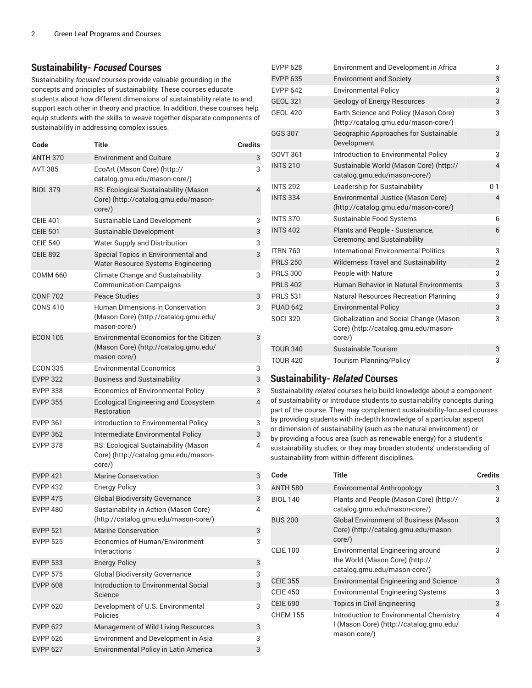#### **Sustainability-** *Focused* **Courses**

Sustainability-*focused* courses provide valuable grounding in the concepts and principles of sustainability. These courses educate students about how different dimensions of sustainability relate to and support each other in theory and practice. In addition, these courses help equip students with the skills to weave together disparate components of sustainability in addressing complex issues.

| Code            | Title                                                                                                   | <b>Credits</b> |
|-----------------|---------------------------------------------------------------------------------------------------------|----------------|
| <b>ANTH 370</b> | <b>Environment and Culture</b>                                                                          | 3              |
| <b>AVT 385</b>  | EcoArt (Mason Core) (http://<br>catalog.gmu.edu/mason-core/)                                            | 3              |
| <b>BIOL 379</b> | RS: Ecological Sustainability (Mason<br>Core) (http://catalog.gmu.edu/mason-<br>core/)                  | $\overline{4}$ |
| <b>CEIE 401</b> | Sustainable Land Development                                                                            | 3              |
| <b>CEIE 501</b> | Sustainable Development                                                                                 | 3              |
| <b>CEIE 540</b> | Water Supply and Distribution                                                                           | 3              |
| <b>CEIE 892</b> | Special Topics in Environmental and<br>Water Resource Systems Engineering                               | 3              |
| COMM 660        | <b>Climate Change and Sustainability</b><br><b>Communication Campaigns</b>                              | 3              |
| <b>CONF 702</b> | Peace Studies                                                                                           | 3              |
| <b>CONS 410</b> | Human Dimensions in Conservation<br>(Mason Core) (http://catalog.gmu.edu/<br>mason-core/)               | 3              |
| <b>ECON 105</b> | <b>Environmental Economics for the Citizen</b><br>(Mason Core) (http://catalog.gmu.edu/<br>mason-core/) | 3              |
| <b>ECON 335</b> | <b>Environmental Economics</b>                                                                          | 3              |
| <b>EVPP 322</b> | <b>Business and Sustainability</b>                                                                      | 3              |
| <b>EVPP 338</b> | <b>Economics of Environmental Policy</b>                                                                | 3              |
| <b>EVPP 355</b> | Ecological Engineering and Ecosystem<br>Restoration                                                     | $\overline{4}$ |
| <b>EVPP 361</b> | Introduction to Environmental Policy                                                                    | 3              |
| <b>EVPP 362</b> | Intermediate Environmental Policy                                                                       | 3              |
| <b>EVPP 378</b> | RS: Ecological Sustainability (Mason<br>Core) (http://catalog.gmu.edu/mason-<br>core/)                  | 4              |
| <b>EVPP 421</b> | <b>Marine Conservation</b>                                                                              | 3              |
| <b>EVPP 432</b> | <b>Energy Policy</b>                                                                                    | 3              |
| <b>EVPP 475</b> | <b>Global Biodiversity Governance</b>                                                                   | 3              |
| <b>EVPP 480</b> | Sustainability in Action (Mason Core)<br>(http://catalog.gmu.edu/mason-core/)                           | 4              |
| <b>EVPP 521</b> | Marine Conservation                                                                                     | 3              |
| <b>EVPP 525</b> | <b>Economics of Human/Environment</b><br>Interactions                                                   | 3              |
| <b>EVPP 533</b> | <b>Energy Policy</b>                                                                                    | 3              |
| <b>EVPP 575</b> | <b>Global Biodiversity Governance</b>                                                                   | 3              |
| <b>EVPP 608</b> | Introduction to Environmental Social<br>Science                                                         | 3              |
| <b>EVPP 620</b> | Development of U.S. Environmental<br>Policies                                                           | 3              |
| <b>EVPP 622</b> | Management of Wild Living Resources                                                                     | 3              |
| <b>EVPP 626</b> | Environment and Development in Asia                                                                     | 3              |
| <b>EVPP 627</b> | Environmental Policy in Latin America                                                                   | 3              |

| <b>EVPP 628</b> | Environment and Development in Africa                                                    | 3              |
|-----------------|------------------------------------------------------------------------------------------|----------------|
| <b>EVPP 635</b> | <b>Environment and Society</b>                                                           | 3              |
| <b>EVPP 642</b> | <b>Environmental Policy</b>                                                              | 3              |
| <b>GEOL 321</b> | Geology of Energy Resources                                                              | 3              |
| <b>GEOL 420</b> | Earth Science and Policy (Mason Core)<br>(http://catalog.gmu.edu/mason-core/)            | 3              |
| <b>GGS 307</b>  | Geographic Approaches for Sustainable<br>Development                                     | 3              |
| <b>GOVT 361</b> | Introduction to Environmental Policy                                                     | 3              |
| <b>INTS 210</b> | Sustainable World (Mason Core) (http://<br>catalog.gmu.edu/mason-core/)                  | 4              |
| <b>INTS 292</b> | Leadership for Sustainability                                                            | $0 - 1$        |
| <b>INTS 334</b> | Environmental Justice (Mason Core)<br>(http://catalog.gmu.edu/mason-core/)               | 4              |
| <b>INTS 370</b> | Sustainable Food Systems                                                                 | 6              |
| <b>INTS 402</b> | Plants and People - Sustenance,<br>Ceremony, and Sustainability                          | 6              |
| <b>ITRN 760</b> | International Environmental Politics                                                     | 3              |
| <b>PRLS 250</b> | <b>Wilderness Travel and Sustainability</b>                                              | $\overline{2}$ |
| <b>PRLS 300</b> | People with Nature                                                                       | 3              |
| <b>PRLS 402</b> | <b>Human Behavior in Natural Environments</b>                                            | 3              |
| <b>PRLS 531</b> | <b>Natural Resources Recreation Planning</b>                                             | 3              |
| <b>PUAD 642</b> | <b>Environmental Policy</b>                                                              | 3              |
| <b>SOCI 320</b> | Globalization and Social Change (Mason<br>Core) (http://catalog.gmu.edu/mason-<br>core/) | 3              |
| <b>TOUR 340</b> | Sustainable Tourism                                                                      | 3              |
| <b>TOUR 420</b> | <b>Tourism Planning/Policy</b>                                                           | 3              |

#### **Sustainability-** *Related* **Courses**

Sustainability-*related* courses help build knowledge about a component of sustainability or introduce students to sustainability concepts during part of the course. They may complement sustainability-focused courses by providing students with in-depth knowledge of a particular aspect or dimension of sustainability (such as the natural environment) or by providing a focus area (such as renewable energy) for a student's sustainability studies, or they may broaden students' understanding of sustainability from within different disciplines.

| Code            | Title                                                                                               | <b>Credits</b> |
|-----------------|-----------------------------------------------------------------------------------------------------|----------------|
| <b>ANTH 580</b> | Environmental Anthropology                                                                          | 3              |
| <b>BIOL 140</b> | Plants and People (Mason Core) (http://<br>catalog.gmu.edu/mason-core/)                             | 3              |
| <b>BUS 200</b>  | <b>Global Environment of Business (Mason</b><br>Core) (http://catalog.gmu.edu/mason-<br>$core$ )    | 3              |
| <b>CEIE 100</b> | Environmental Engineering around<br>the World (Mason Core) (http://<br>catalog.gmu.edu/mason-core/) | 3              |
| <b>CEIE 355</b> | <b>Environmental Engineering and Science</b>                                                        | 3              |
| <b>CEIE 450</b> | <b>Environmental Engineering Systems</b>                                                            | 3              |
| <b>CEIE 690</b> | Topics in Civil Engineering                                                                         | 3              |
| <b>CHEM 155</b> | Introduction to Environmental Chemistry<br>I (Mason Core) (http://catalog.gmu.edu/<br>mason-core/)  | 4              |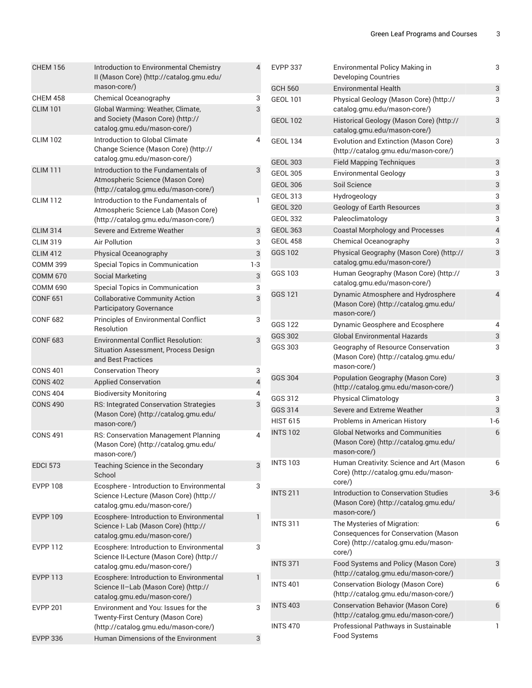| <b>CHEM 156</b> | Introduction to Environmental Chemistry<br>II (Mason Core) (http://catalog.gmu.edu/                                  | $\overline{4}$ | <b>EVPP 337</b>                    |
|-----------------|----------------------------------------------------------------------------------------------------------------------|----------------|------------------------------------|
|                 | mason-core/)                                                                                                         |                | <b>GCH 560</b>                     |
| <b>CHEM 458</b> | Chemical Oceanography                                                                                                | 3              | <b>GEOL 101</b>                    |
| <b>CLIM 101</b> | Global Warming: Weather, Climate,<br>and Society (Mason Core) (http://<br>catalog.gmu.edu/mason-core/)               | 3              | <b>GEOL 102</b>                    |
| <b>CLIM 102</b> | Introduction to Global Climate<br>Change Science (Mason Core) (http://<br>catalog.gmu.edu/mason-core/)               | 4              | <b>GEOL 134</b>                    |
| <b>CLIM 111</b> | Introduction to the Fundamentals of                                                                                  | 3              | <b>GEOL 303</b>                    |
|                 | Atmospheric Science (Mason Core)                                                                                     |                | <b>GEOL 305</b><br><b>GEOL 306</b> |
| <b>CLIM 112</b> | (http://catalog.gmu.edu/mason-core/)<br>Introduction to the Fundamentals of                                          | 1              | <b>GEOL 313</b>                    |
|                 | Atmospheric Science Lab (Mason Core)<br>(http://catalog.gmu.edu/mason-core/)                                         |                | <b>GEOL 320</b><br><b>GEOL 332</b> |
| <b>CLIM 314</b> | Severe and Extreme Weather                                                                                           | $\mathsf{3}$   | <b>GEOL 363</b>                    |
| <b>CLIM 319</b> | <b>Air Pollution</b>                                                                                                 | 3              | <b>GEOL 458</b>                    |
| <b>CLIM 412</b> | Physical Oceanography                                                                                                | 3              | GGS 102                            |
| <b>COMM 399</b> | Special Topics in Communication                                                                                      | $1-3$          |                                    |
| <b>COMM 670</b> | <b>Social Marketing</b>                                                                                              | 3              | GGS 103                            |
| <b>COMM 690</b> | Special Topics in Communication                                                                                      | 3              |                                    |
| <b>CONF 651</b> | <b>Collaborative Community Action</b><br><b>Participatory Governance</b>                                             | 3              | <b>GGS 121</b>                     |
| <b>CONF 682</b> | Principles of Environmental Conflict                                                                                 | 3              | GGS 122                            |
|                 | Resolution                                                                                                           |                | GGS 302                            |
| <b>CONF 683</b> | <b>Environmental Conflict Resolution:</b><br>Situation Assessment, Process Design<br>and Best Practices              | 3              | GGS 303                            |
| <b>CONS 401</b> | <b>Conservation Theory</b>                                                                                           | 3              |                                    |
| <b>CONS 402</b> | <b>Applied Conservation</b>                                                                                          | $\overline{4}$ | <b>GGS 304</b>                     |
| <b>CONS 404</b> | <b>Biodiversity Monitoring</b>                                                                                       | 4              | GGS 312                            |
| <b>CONS 490</b> | RS: Integrated Conservation Strategies                                                                               | 3              | GGS 314                            |
|                 | (Mason Core) (http://catalog.gmu.edu/                                                                                |                | <b>HIST 615</b>                    |
|                 | mason-core/)                                                                                                         |                | <b>INTS 102</b>                    |
| <b>CONS 491</b> | RS: Conservation Management Planning<br>(Mason Core) (http://catalog.gmu.edu/<br>mason-core/)                        | 4              |                                    |
| <b>EDCI 573</b> | Teaching Science in the Secondary<br>School                                                                          | 3              | <b>INTS 103</b>                    |
| <b>EVPP 108</b> | Ecosphere - Introduction to Environmental<br>Science I-Lecture (Mason Core) (http://<br>catalog.gmu.edu/mason-core/) | 3              | <b>INTS 211</b>                    |
| <b>EVPP 109</b> | Ecosphere- Introduction to Environmental<br>Science I- Lab (Mason Core) (http://<br>catalog.gmu.edu/mason-core/)     | $\mathbf{1}$   | <b>INTS 311</b>                    |
| <b>EVPP 112</b> | Ecosphere: Introduction to Environmental<br>Science II-Lecture (Mason Core) (http://                                 | 3              | <b>INTS 371</b>                    |
| <b>EVPP 113</b> | catalog.gmu.edu/mason-core/)                                                                                         | $\mathbf{1}$   |                                    |
|                 | Ecosphere: Introduction to Environmental<br>Science II-Lab (Mason Core) (http://<br>catalog.gmu.edu/mason-core/)     |                | <b>INTS 401</b>                    |
| <b>EVPP 201</b> | Environment and You: Issues for the<br>Twenty-First Century (Mason Core)                                             | 3              | <b>INTS 403</b>                    |
|                 | (http://catalog.gmu.edu/mason-core/)<br>Human Dimensions of the Environment                                          |                | <b>INTS 470</b>                    |
| <b>EVPP 336</b> |                                                                                                                      | 3              |                                    |

| <b>EVPP 337</b> | Environmental Policy Making in<br><b>Developing Countries</b>                                                         | 3                         |
|-----------------|-----------------------------------------------------------------------------------------------------------------------|---------------------------|
| <b>GCH 560</b>  | <b>Environmental Health</b>                                                                                           | $\ensuremath{\mathsf{3}}$ |
| <b>GEOL 101</b> | Physical Geology (Mason Core) (http://<br>catalog.gmu.edu/mason-core/)                                                | 3                         |
| <b>GEOL 102</b> | Historical Geology (Mason Core) (http://<br>catalog.gmu.edu/mason-core/)                                              | 3                         |
| <b>GEOL 134</b> | Evolution and Extinction (Mason Core)<br>(http://catalog.gmu.edu/mason-core/)                                         | 3                         |
| <b>GEOL 303</b> | <b>Field Mapping Techniques</b>                                                                                       | 3                         |
| <b>GEOL 305</b> | <b>Environmental Geology</b>                                                                                          | 3                         |
| <b>GEOL 306</b> | Soil Science                                                                                                          | 3                         |
| <b>GEOL 313</b> | Hydrogeology                                                                                                          | 3                         |
| <b>GEOL 320</b> | <b>Geology of Earth Resources</b>                                                                                     | 3                         |
| <b>GEOL 332</b> | Paleoclimatology                                                                                                      | 3                         |
| <b>GEOL 363</b> | <b>Coastal Morphology and Processes</b>                                                                               | 4                         |
| <b>GEOL 458</b> | Chemical Oceanography                                                                                                 | 3                         |
| <b>GGS 102</b>  | Physical Geography (Mason Core) (http://<br>catalog.gmu.edu/mason-core/)                                              | 3                         |
| GGS 103         | Human Geography (Mason Core) (http://<br>catalog.gmu.edu/mason-core/)                                                 | 3                         |
| GGS 121         | Dynamic Atmosphere and Hydrosphere<br>(Mason Core) (http://catalog.gmu.edu/<br>mason-core/)                           | 4                         |
| GGS 122         | Dynamic Geosphere and Ecosphere                                                                                       | 4                         |
| GGS 302         | <b>Global Environmental Hazards</b>                                                                                   | 3                         |
| GGS 303         | Geography of Resource Conservation<br>(Mason Core) (http://catalog.gmu.edu/<br>mason-core/)                           | 3                         |
| GGS 304         | Population Geography (Mason Core)<br>(http://catalog.gmu.edu/mason-core/)                                             | 3                         |
| GGS 312         | <b>Physical Climatology</b>                                                                                           | 3                         |
| GGS 314         | Severe and Extreme Weather                                                                                            | 3                         |
| <b>HIST 615</b> | Problems in American History                                                                                          | 1-6                       |
| <b>INTS 102</b> | <b>Global Networks and Communities</b><br>(Mason Core) (http://catalog.gmu.edu/<br>mason-core/)                       | 6                         |
| <b>INTS 103</b> | Human Creativity: Science and Art (Mason<br>Core) (http://catalog.gmu.edu/mason-<br>core/)                            | 6                         |
| <b>INTS 211</b> | Introduction to Conservation Studies<br>(Mason Core) (http://catalog.gmu.edu/<br>mason-core/)                         | 3-6                       |
| <b>INTS 311</b> | The Mysteries of Migration:<br>Consequences for Conservation (Mason<br>Core) (http://catalog.gmu.edu/mason-<br>core/) | 6                         |
| <b>INTS 371</b> | Food Systems and Policy (Mason Core)<br>(http://catalog.gmu.edu/mason-core/)                                          | 3                         |
| <b>INTS 401</b> | Conservation Biology (Mason Core)<br>(http://catalog.gmu.edu/mason-core/)                                             | 6                         |
| <b>INTS 403</b> | <b>Conservation Behavior (Mason Core)</b><br>(http://catalog.gmu.edu/mason-core/)                                     | 6                         |
| <b>INTS 470</b> | Professional Pathways in Sustainable<br>Food Systems                                                                  | 1                         |